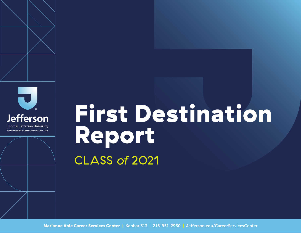





Thomas Jefferson University HOME OF SIDNEY KIMMEL MEDICAL COLLEGE

# First Destination Report CLASS *of* 2021

Marianne Able Career Services Center | Kanbar 313 | 215-951-2930 | Jefferson.edu/CareerServicesCenter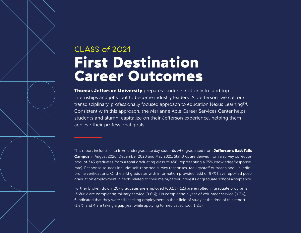## CLASS *of* 2021 First Destination Career Outcomes

**Thomas Jefferson University** prepares students not only to land top internships and jobs, but to become industry leaders. At Jefferson, we call our transdisciplinary, professionally focused approach to education Nexus Learning™. Consistent with this approach, the Marianne Able Career Services Center helps students and alumni capitalize on their Jefferson experience, helping them achieve their professional goals.

This report includes data from undergraduate day students who graduated from Jefferson's East Falls Campus in August 2020, December 2020 and May 2021. Statistics are derived from a survey collection pool of 343 graduates from a total graduating class of 458 (representing a 75% knowledge/response rate). Response sources include: self-reported survey responses, faculty/staff outreach and LinkedIn profile verifications. Of the 343 graduates with information provided, 333 or 97% have reported postgraduation employment in fields related to their major/career interests or graduate school acceptance.

Further broken down, 207 graduates are employed (60.1%); 123 are enrolled in graduate programs (36%); 2 are completing military service (0.6%); 1 is completing a year of volunteer service (0.3%); 6 indicated that they were still seeking employment in their field of study at the time of this report (1.8%) and 4 are taking a gap year while applying to medical school (1.2%).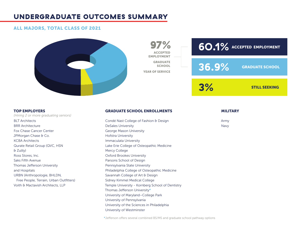#### UNDERGRADUATE OUTCOMES SUMMARY

#### ALL MAJORS, TOTAL CLASS OF 2021



**60.1%** ACCEPTED EMPLOYMENT GRADUATE SCHOOL STILL SEEKING **36.9% 3%**

*(Hiring 2 or more graduating seniors)* BLT Architects BRR Architecture Fox Chase Cancer Center JPMorgan Chase & Co. KCBA Architects Qurate Retail Group (QVC, HSN & Zulily) Ross Stores, Inc. Saks Fifth Avenue Thomas Jefferson University and Hospitals URBN (Anthropologie, BHLDN, Free People, Terrain, Urban Outfitters) Voith & Mactavish Architects, LLP

## TOP EMPLOYERS GRADUATE SCHOOL ENROLLMENTS MILITARY

ACCEPTED EMPLOYMENT— **GRADUATE SCHOOL** 

97%

YEAR OF SERVICE

Condé Nast College of Fashion & Design DeSales University George Mason University Hofstra University Immaculata University Lake Erie College of Osteopathic Medicine Mercy College Oxford Brookes University Parsons School of Design Pennsylvania State University Philadelphia College of Osteopathic Medicine Savannah College of Art & Design Sidney Kimmel Medical College Temple University - Kornberg School of Dentistry Thomas Jefferson University\* University of Maryland–College Park University of Pennsylvania University of the Sciences in Philadelphia University of Westminster

Army Navy

\*Jefferson offers several combined BS/MS and graduate school pathway options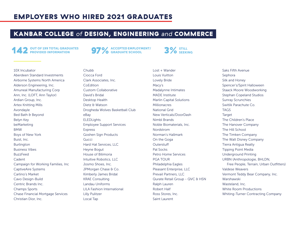#### EMPLOYERS WHO HIRED 2021 GRADUATES

#### KANBAR COLLEGE *of* DESIGN, ENGINEERING *and* COMMERCE

### **OUT OF 199 TOTAL GRADUATES<br>PROVIDED INFORMATION**

### **97%** ACCEPTED EMPLOYMENT/

3% STILL SEEKING

10X Incubator Aberdeen Standard Investments Airborne Systems North America Alderson Engineering, Inc. Amuneal Manufacturing Corp Ann, Inc. (LOFT, Ann Taylor) Ardian Group, Inc. Artex Knitting Mills Avondayle Bed Bath & Beyond Belyn Key beMarketing BMW Boys of New York Buist, Inc. Burlington Business Vibes BuzzFeed Cadent Campaign for Working Families, Inc CaptiveAire Systems Carlino's Market Cavo Design-Build Centric Brands Inc. Champs Sports Chase Financial Mortgage Services Christian Dior, Inc.

Chubb Ciocca Ford Clark Associates, Inc. **CoEdition** Custom Collaborative David's Bridal Desktop Health Dietz & Watson Drogheda Wolves Basketball Club eBay **ELEDLights** Employee Support Services Express Goshen Sign Products Gucci Hard Hat Services, LLC Heyne Bogut House of Bilimoria Intuitive Robotics, LLC Josmo Shoes, Inc. JPMorgan Chase & Co. Kimberly James Bridal KRAE Consulting Landau Uniforms LILA Fashion International Lilly Pulitzer Local Tap

Lost + Wander Louis Vuitton Lovely Bride Macy's Madalynne Intimates MADE Institute Marlin Capital Solutions Millionacres National Grid New Verticals/DoorDash Nimbl Brands Noble Biomaterials, Inc. Nordstrom Norman's Hallmark On the Goga **Outerstuff** Pal Socks Petro Home Services PGA TOUR Philadelphia Eagles Pleasant Enterprise, LLC Prevail Partners, LLC Qurate Retail Group - QVC & HSN Ralph Lauren Robert Half Ross Stores, Inc. Saint Laurent

Saks Fifth Avenue Sephora Silk and Honey Spencer's/Spirit Halloween Staack Moore Woodworking Stephan Copeland Studios Sunray Scrunchies Switlik Parachute Co. **TAGS** Target The Children's Place The Hanover Company The Hill School The Timken Company The Walt Disney Company Tierra Antigua Realty Tipping Point Media Underground Printing URBN (Anthropologie, BHLDN, Free People, Terrain, Urban Outfitters) Valdese Weavers Vermont Teddy Bear Company, Inc. Warshawski Wasteland, Inc. White Room Productions Whiting-Turner Contracting Company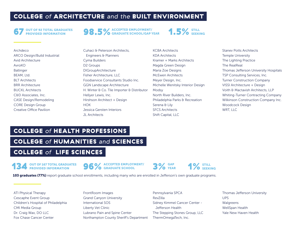#### COLLEGE *of* ARCHITECTURE *and the* BUILT ENVIRONMENT

#### **OUT OF 92 TOTAL GRADUATES<br>PROVIDED INFORMATION**

**98.5%** GRADUATE SCHOOL/GAP YEAR

 $1.5\%$  STILL

| Archdeco                            |
|-------------------------------------|
| <b>ARCO Design/Build Industrial</b> |
| Avid Architecture                   |
| AvroKO                              |
| Ballinger                           |
| BEAM, Ltd.                          |
| <b>BIT Architects</b>               |
| <b>BRR Architecture</b>             |
| <b>BUCKL</b> Architects             |
| C&D Associates, Inc.                |
| <b>CASE Design/Remodeling</b>       |
| <b>CORE Design Group</b>            |
| Creative Office Pavilion            |
|                                     |

Cuhaci & Peterson Architects, Engineers & Planners Cyma Builders D<sub>2</sub> Groups DIGroupArchitecture Fisher Architecture, LLC. Foodservice Consultants Studio Inc. GGN Landscape Architecture H. Winter & Co. Tile Importer & Distributor Hellyer Lewis, Inc. Hirshson Architect + Design **HOK** Jessica Gersten Interiors JL Architects

KCBA Architects KDA Architects Kramer + Marks Architects Magda Green Design Maria Zoe Designs McEwen Architects Meyer Design, Inc. Michelle Wenitsky Interior Design Modsy North River Builders, Inc. Philadelphia Parks & Recreation Serena & Lily SFCS Architects Shift Capital, LLC

Stanev Potts Architects Temple University The Lighting Practice The RealReal Thomas Jefferson University Hospitals TSP Consulting Services, Inc. Turner Construction Company VISSI Architecture + Design Voith & Mactavish Architects, LLP Whiting-Turner Contracting Company Wilkinson Construction Company Inc. Woodcock Design WRT, LLC

#### COLLEGE *of* HEALTH PROFESSIONS

COLLEGE *of* HUMANITIES *and* SCIENCES

#### COLLEGE *of* LIFE SCIENCES

**OUT OF 167 TOTAL GRADUATES<br>PROVIDED INFORMATION** 

96% ACCEPTED EMPLOYMENT/ 3% GAP 1% STILL 3% SEEKING





103 graduates (77%) report graduate school enrollments, including many who are enrolled in Jefferson's own graduate programs.

ATI Physical Therapy Cescaphe Event Group Children's Hospital of Philadelphia CMI Media Group Dr. Craig Wax, DO LLC Fox Chase Cancer Center

#### FrontRoom Images

Grand Canyon University International SOS Liberty Vet Clinic Lubrano Pain and Spine Center Northampton County Sheriff's Department

Pennsylvania SPCA RevZilla Sidney Kimmel Cancer Center - Jefferson Health The Stepping Stones Group, LLC ThermOmegaTech, Inc.

Thomas Jefferson University UPS Walgreens WellSpan Health Yale New Haven Health